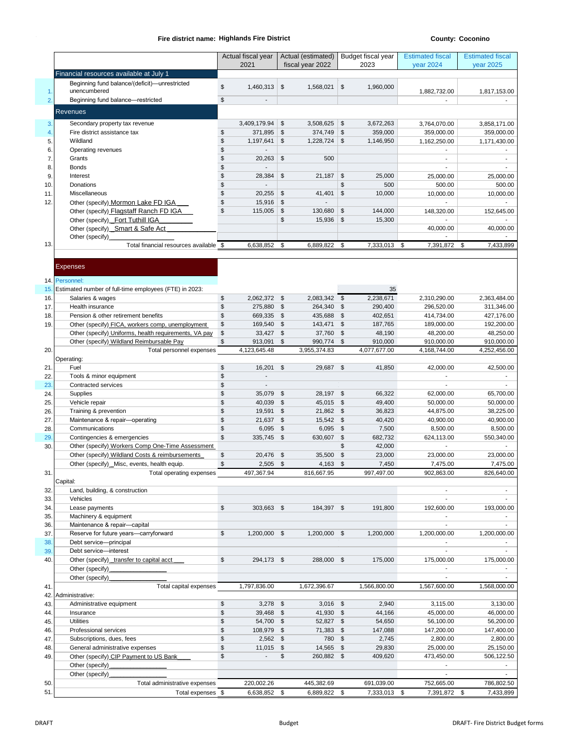# **Fire district name: County: Coconino Highlands Fire District**

|                |                                                                                                           |                         | Actual fiscal year        |                              | Actual (estimated) |                     | Budget fiscal year | <b>Estimated fiscal</b>  | <b>Estimated fiscal</b>  |
|----------------|-----------------------------------------------------------------------------------------------------------|-------------------------|---------------------------|------------------------------|--------------------|---------------------|--------------------|--------------------------|--------------------------|
|                |                                                                                                           |                         | 2021                      |                              | fiscal year 2022   |                     | 2023               | year 2024                | year 2025                |
|                | Financial resources available at July 1                                                                   |                         |                           |                              |                    |                     |                    |                          |                          |
|                | Beginning fund balance/(deficit)-unrestricted                                                             | \$                      | 1,460,313                 | \$                           | 1,568,021          | $\sqrt[6]{2}$       | 1,960,000          |                          |                          |
| 1.             | unencumbered                                                                                              |                         |                           |                              |                    |                     |                    | 1,882,732.00             | 1,817,153.00             |
| $\overline{2}$ | Beginning fund balance-restricted                                                                         | \$                      |                           |                              |                    |                     |                    |                          |                          |
|                | <b>Revenues</b>                                                                                           |                         |                           |                              |                    |                     |                    |                          |                          |
| 3.             | Secondary property tax revenue                                                                            |                         | 3,409,179.94              | \$                           | 3,508,625          | \$                  | 3,672,263          | 3,764,070.00             | 3,858,171.00             |
| 4.             | Fire district assistance tax                                                                              | \$                      | 371,895                   | \$                           | 374,749            | \$                  | 359,000            | 359,000.00               | 359,000.00               |
| 5.             | Wildland                                                                                                  | \$                      | 1,197,641                 | \$                           | 1,228,724          | $\mathfrak{S}$      | 1,146,950          | 1,162,250.00             | 1,171,430.00             |
| 6.             | Operating revenues                                                                                        | \$                      |                           |                              |                    |                     |                    |                          |                          |
| 7.             | Grants                                                                                                    | \$                      | 20,263                    | \$                           | 500                |                     |                    |                          | $\overline{\phantom{a}}$ |
| 8.             | <b>Bonds</b>                                                                                              | \$                      | $\overline{a}$            |                              |                    |                     |                    |                          | $\overline{\phantom{a}}$ |
| 9.             | Interest                                                                                                  | \$                      | 28,384                    | \$                           | 21,187             | \$                  | 25,000             | 25,000.00                | 25,000.00                |
| 10             | Donations                                                                                                 | \$                      |                           |                              |                    | \$                  | 500                | 500.00                   | 500.00                   |
| 11.            | Miscellaneous                                                                                             | \$                      | 20,255                    | \$                           | 41,401             | $\mathfrak{S}$      | 10,000             | 10,000.00                | 10,000.00                |
| 12.            | Other (specify) Mormon Lake FD IGA                                                                        | \$<br>\$                | 15,916                    | \$                           |                    |                     |                    |                          |                          |
|                | Other (specify) Flagstaff Ranch FD IGA                                                                    |                         | 115,005                   | \$<br>\$                     | 130,680<br>15,936  | \$<br>\$            | 144,000<br>15,300  | 148,320.00               | 152,645.00               |
|                | Other (specify) Fort Tuthill IGA<br>Other (specify) Smart & Safe Act                                      |                         |                           |                              |                    |                     |                    | 40,000.00                | 40,000.00                |
|                | Other (specify)                                                                                           |                         |                           |                              |                    |                     |                    |                          |                          |
| 13.            | Total financial resources available \$                                                                    |                         | 6,638,852                 | \$                           | 6,889,822          | \$                  | 7,333,013          | \$<br>7,391,872          | 7,433,899<br>\$          |
|                |                                                                                                           |                         |                           |                              |                    |                     |                    |                          |                          |
|                |                                                                                                           |                         |                           |                              |                    |                     |                    |                          |                          |
|                | <b>Expenses</b>                                                                                           |                         |                           |                              |                    |                     |                    |                          |                          |
| 14.            | Personnel:                                                                                                |                         |                           |                              |                    |                     |                    |                          |                          |
| 15.            | Estimated number of full-time employees (FTE) in 2023:                                                    |                         |                           |                              |                    |                     | 35                 |                          |                          |
| 16.            | Salaries & wages                                                                                          | \$                      | 2,062,372 \$              |                              | 2,083,342          | \$                  | 2,238,671          | 2,310,290.00             | 2,363,484.00             |
| 17.            | Health insurance                                                                                          | $\sqrt{2}$              | 275,880                   | $\sqrt{5}$                   | 264,340            | $\sqrt[6]{2}$       | 290,400            | 296,520.00               | 311,346.00               |
| 18.            | Pension & other retirement benefits                                                                       | \$                      | 669,335                   | \$                           | 435,688            | \$                  | 402,651            | 414,734.00               | 427,176.00               |
| 19.            | Other (specify) FICA, workers comp, unemployment<br>Other (specify) Uniforms, health requirements, VA pay | \$<br>$\boldsymbol{\$}$ | 169,540<br>33,427         | \$<br>\$                     | 143,471<br>37,760  | \$<br>$\sqrt[6]{2}$ | 187,765<br>48,190  | 189,000.00<br>48,200.00  | 192,200.00<br>48,250.00  |
|                | Other (specify) Wildland Reimbursable Pay                                                                 | $\sqrt{2}$              | 913,091                   | \$                           | 990,774            | \$                  | 910,000            | 910,000.00               | 910,000.00               |
| 20.            | Total personnel expenses                                                                                  |                         | 4,123,645.48              |                              | 3,955,374.83       |                     | 4,077,677.00       | 4,168,744.00             | 4,252,456.00             |
|                | Operating:                                                                                                |                         |                           |                              |                    |                     |                    |                          |                          |
| 21             | Fuel                                                                                                      | \$                      | 16,201                    | \$                           | 29,687             | \$                  | 41,850             | 42,000.00                | 42,500.00                |
| 22.            | Tools & minor equipment                                                                                   | \$                      | $\overline{a}$            |                              |                    |                     |                    |                          |                          |
| 23.            | Contracted services                                                                                       | \$                      |                           |                              |                    |                     |                    |                          |                          |
| 24.            | Supplies                                                                                                  | \$<br>\$                | 35,079                    | $\mathfrak{F}$<br>$\sqrt{5}$ | 28,197             | \$                  | 66,322             | 62,000.00                | 65,700.00                |
| 25.<br>26.     | Vehicle repair<br>Training & prevention                                                                   | \$                      | 40,039<br>19,591 \$       |                              | 45,015<br>21,862   | \$<br>\$            | 49,400<br>36,823   | 50,000.00<br>44,875.00   | 50,000.00<br>38,225.00   |
| 27.            | Maintenance & repair-operating                                                                            | \$                      | 21,637 \$                 |                              | 15,542             | \$                  | 40,420             | 40,900.00                | 40,900.00                |
| 28.            | Communications                                                                                            | \$                      | 6,095                     | \$                           | 6,095              | $\sqrt[6]{2}$       | 7,500              | 8,500.00                 | 8,500.00                 |
| 29.            | Contingencies & emergencies                                                                               | $\mathsf{\$}$           | 335,745                   | $\sqrt{3}$                   | 630,607            | $\sqrt{2}$          | 682,732            | 624,113.00               | 550,340.00               |
| 30.            | Other (specify) Workers Comp One-Time Assessment                                                          |                         |                           |                              |                    | \$                  | 42,000             |                          |                          |
|                | Other (specify) Wildland Costs & reimbursements                                                           | \$                      | 20,476 \$                 |                              | 35,500             | \$                  | 23,000             | 23,000.00                | 23,000.00                |
|                | Other (specify) _Misc, events, health equip.                                                              | $\mathsf{\$}$           | 2,505                     | \$                           | 4,163              | $\mathfrak{S}$      | 7,450              | 7,475.00                 | 7,475.00                 |
| 31.            | Total operating expenses                                                                                  |                         | 497,367.94                |                              | 816.667.95         |                     | 997.497.00         | 902.863.00               | 826,640.00               |
|                | Capital:                                                                                                  |                         |                           |                              |                    |                     |                    |                          |                          |
| 32.            | Land, building, & construction                                                                            |                         |                           |                              |                    |                     |                    |                          | $\blacksquare$           |
| 33.<br>34.     | Vehicles<br>Lease payments                                                                                | \$                      | 303,663 \$                |                              | 184,397 \$         |                     | 191,800            | 192,600.00               | 193,000.00               |
| 35.            | Machinery & equipment                                                                                     |                         |                           |                              |                    |                     |                    | $\overline{\phantom{a}}$ | $\sim$                   |
| 36.            | Maintenance & repair-capital                                                                              |                         |                           |                              |                    |                     |                    | L.                       | $\overline{\phantom{a}}$ |
| 37.            | Reserve for future years-carryforward                                                                     | \$                      | 1,200,000 \$              |                              | 1,200,000 \$       |                     | 1,200,000          | 1,200,000.00             | 1,200,000.00             |
| 38.            | Debt service-principal                                                                                    |                         |                           |                              |                    |                     |                    | $\overline{\phantom{a}}$ | $\blacksquare$           |
| 39.            | Debt service-interest                                                                                     |                         |                           |                              |                    |                     |                    | $\overline{\phantom{a}}$ | $\blacksquare$           |
| 40.            | Other (specify)_transfer to capital acct                                                                  | \$                      | 294,173 \$                |                              | 288,000 \$         |                     | 175,000            | 175,000.00               | 175,000.00               |
|                | Other (specify)                                                                                           |                         |                           |                              |                    |                     |                    |                          |                          |
|                | Other (specify)                                                                                           |                         |                           |                              |                    |                     |                    |                          |                          |
| 41             | Total capital expenses                                                                                    |                         | 1,797,836.00              |                              | 1,672,396.67       |                     | 1,566,800.00       | 1,567,600.00             | 1,568,000.00             |
| 42.<br>43.     | Administrative:<br>Administrative equipment                                                               | \$                      | $3,278$ \$                |                              | $3,016$ \$         |                     | 2,940              | 3,115.00                 | 3,130.00                 |
| 44.            | Insurance                                                                                                 | \$                      | 39,468 \$                 |                              | 41,930             | \$                  | 44,166             | 45,000.00                | 46,000.00                |
| 45.            | <b>Utilities</b>                                                                                          | \$                      | 54,700 \$                 |                              | 52,827 \$          |                     | 54,650             | 56,100.00                | 56,200.00                |
| 46.            | Professional services                                                                                     | \$                      | 108,979 \$                |                              | 71,383             | \$                  | 147,088            | 147,200.00               | 147,400.00               |
| 47.            | Subscriptions, dues, fees                                                                                 | \$                      | $2,562$ \$                |                              | 780                | $\mathfrak{F}$      | 2,745              | 2,800.00                 | 2,800.00                 |
| 48.            | General administrative expenses                                                                           | \$                      | $11,015$ \$               |                              | 14,565             | \$                  | 29,830             | 25,000.00                | 25,150.00                |
| 49.            | Other (specify) CIP Payment to US Bank                                                                    | \$                      | $\mathbb{L}^{\mathbb{Z}}$ | \$                           | 260,882 \$         |                     | 409,620            | 473,450.00               | 506,122.50               |
|                | Other (specify)                                                                                           |                         |                           |                              |                    |                     |                    | $\overline{\phantom{a}}$ |                          |
|                | Other (specify)                                                                                           |                         |                           |                              |                    |                     |                    |                          |                          |
| 50.            | Total administrative expenses                                                                             |                         | 220,002.26                |                              | 445,382.69         |                     | 691,039.00         | 752,665.00               | 786,802.50               |
| 51.            | Total expenses \$                                                                                         |                         | 6,638,852 \$              |                              | 6,889,822 \$       |                     | 7,333,013 \$       | 7,391,872 \$             | 7,433,899                |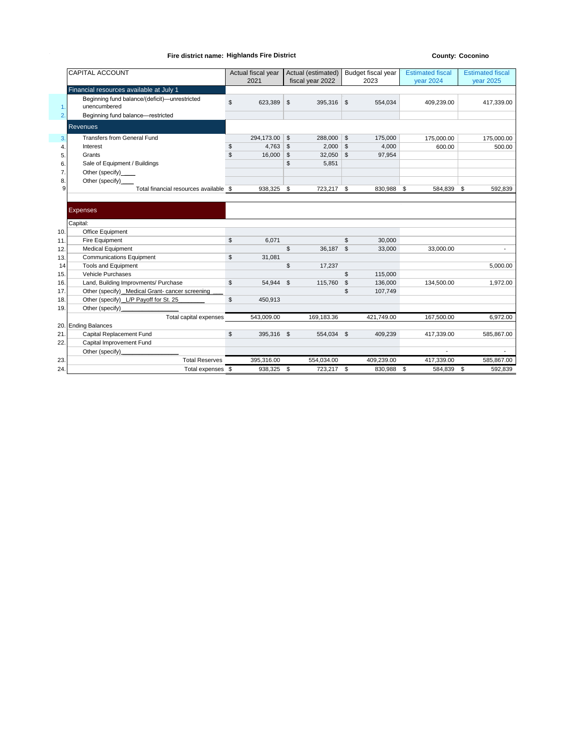## **Fire district name: Highlands Fire District Highlands** Fire  $\frac{1}{2}$  **County: Coconino**

|     | CAPITAL ACCOUNT                                               | Actual fiscal year<br>2021    | Actual (estimated)       | Budget fiscal year<br>2023 | <b>Estimated fiscal</b> | <b>Estimated fiscal</b><br><b>year 2025</b> |  |
|-----|---------------------------------------------------------------|-------------------------------|--------------------------|----------------------------|-------------------------|---------------------------------------------|--|
|     |                                                               |                               | fiscal year 2022         |                            | <b>year 2024</b>        |                                             |  |
|     | Financial resources available at July 1                       |                               |                          |                            |                         |                                             |  |
| 1.  | Beginning fund balance/(deficit)-unrestricted<br>unencumbered | \$<br>623,389                 | $\mathfrak s$<br>395,316 | $\mathfrak{S}$<br>554,034  | 409,239.00              | 417,339.00                                  |  |
| 2.  | Beginning fund balance-restricted                             |                               |                          |                            |                         |                                             |  |
|     | <b>Revenues</b>                                               |                               |                          |                            |                         |                                             |  |
| 3.  | <b>Transfers from General Fund</b>                            | 294,173.00 \$                 | 288,000 \$               | 175,000                    | 175,000.00              | 175,000.00                                  |  |
| 4.  | Interest                                                      | $4,763$ \$<br>\$              | 2,000                    | $\mathfrak{S}$<br>4,000    | 600.00                  | 500.00                                      |  |
| 5.  | Grants                                                        | $\mathfrak{s}$<br>$16,000$ \$ | $32,050$ \$              | 97,954                     |                         |                                             |  |
| 6.  | Sale of Equipment / Buildings                                 |                               | \$<br>5,851              |                            |                         |                                             |  |
| 7.  | Other (specify)_____                                          |                               |                          |                            |                         |                                             |  |
| 8.  | Other (specify)_                                              |                               |                          |                            |                         |                                             |  |
| 9   | Total financial resources available \$                        | 938,325 \$                    | 723,217 \$               | 830,988 \$                 | 584,839 \$              | 592,839                                     |  |
|     |                                                               |                               |                          |                            |                         |                                             |  |
|     | <b>Expenses</b>                                               |                               |                          |                            |                         |                                             |  |
|     |                                                               |                               |                          |                            |                         |                                             |  |
|     | Capital:                                                      |                               |                          |                            |                         |                                             |  |
| 10. | Office Equipment                                              |                               |                          |                            |                         |                                             |  |
| 11. | Fire Equipment                                                | $\mathsf{\$}$<br>6.071        |                          | \$<br>30,000               |                         |                                             |  |
| 12. | <b>Medical Equipment</b>                                      |                               | \$<br>36.187 \$          | 33,000                     | 33.000.00               |                                             |  |
| 13. | <b>Communications Equipment</b>                               | \$<br>31,081                  |                          |                            |                         |                                             |  |
| 14  | <b>Tools and Equipment</b>                                    |                               | \$<br>17,237             |                            |                         | 5,000.00                                    |  |
| 15. | Vehicle Purchases                                             |                               |                          | \$<br>115,000              |                         |                                             |  |
| 16. | Land, Building Improvments/ Purchase                          | \$<br>54,944                  | \$<br>115,760            | ີ\$<br>136,000             | 134,500.00              | 1,972.00                                    |  |
| 17. | Other (specify) _Medical Grant- cancer screening              |                               |                          | \$<br>107,749              |                         |                                             |  |
| 18. | Other (specify) _L/P Payoff for St. 25                        | $\mathsf{\$}$<br>450,913      |                          |                            |                         |                                             |  |
| 19. | Other (specify)                                               |                               |                          |                            |                         |                                             |  |
|     | Total capital expenses                                        | 543,009.00                    | 169,183.36               | 421,749.00                 | 167,500.00              | 6,972.00                                    |  |
|     | 20. Ending Balances                                           |                               |                          |                            |                         |                                             |  |
| 21  | Capital Replacement Fund                                      | \$<br>395,316 \$              | 554,034 \$               | 409,239                    | 417,339.00              | 585,867.00                                  |  |
| 22. | Capital Improvement Fund                                      |                               |                          |                            |                         |                                             |  |
|     | Other (specify)                                               |                               |                          |                            |                         |                                             |  |
| 23. | <b>Total Reserves</b>                                         | 395,316.00                    | 554,034.00               | 409,239.00                 | 417,339.00              | 585,867.00                                  |  |
| 24. | Total expenses \$                                             | 938,325 \$                    | 723,217 \$               | 830,988                    | \$<br>584.839           | \$<br>592,839                               |  |